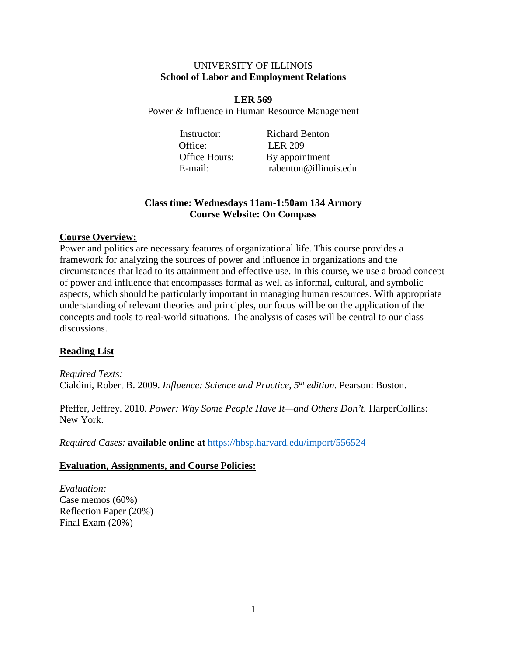#### UNIVERSITY OF ILLINOIS **School of Labor and Employment Relations**

**LER 569** Power & Influence in Human Resource Management

Office: LER 209

Instructor: Richard Benton Office Hours: By appointment E-mail: rabenton@illinois.edu

## **Class time: Wednesdays 11am-1:50am 134 Armory Course Website: On Compass**

### **Course Overview:**

Power and politics are necessary features of organizational life. This course provides a framework for analyzing the sources of power and influence in organizations and the circumstances that lead to its attainment and effective use. In this course, we use a broad concept of power and influence that encompasses formal as well as informal, cultural, and symbolic aspects, which should be particularly important in managing human resources. With appropriate understanding of relevant theories and principles, our focus will be on the application of the concepts and tools to real-world situations. The analysis of cases will be central to our class discussions.

## **Reading List**

*Required Texts:* Cialdini, Robert B. 2009. *Influence: Science and Practice, 5th edition.* Pearson: Boston.

Pfeffer, Jeffrey. 2010. *Power: Why Some People Have It—and Others Don't*. HarperCollins: New York.

*Required Cases:* **available online at** <https://hbsp.harvard.edu/import/556524>

### **Evaluation, Assignments, and Course Policies:**

*Evaluation:* Case memos (60%) Reflection Paper (20%) Final Exam (20%)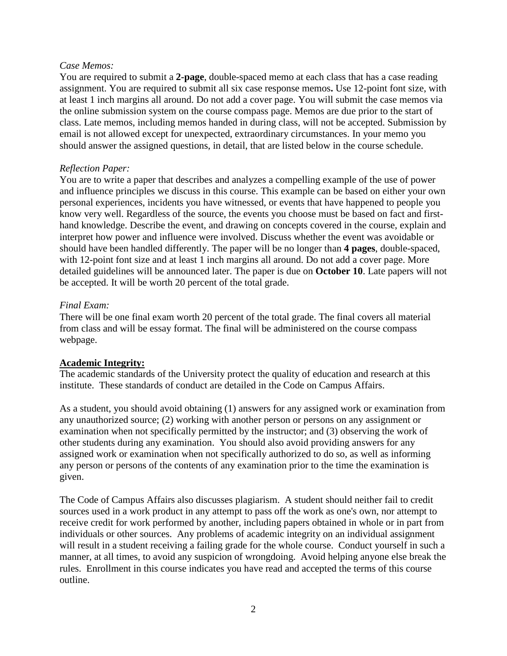#### *Case Memos:*

You are required to submit a **2-page**, double-spaced memo at each class that has a case reading assignment. You are required to submit all six case response memos**.** Use 12-point font size, with at least 1 inch margins all around. Do not add a cover page. You will submit the case memos via the online submission system on the course compass page. Memos are due prior to the start of class. Late memos, including memos handed in during class, will not be accepted. Submission by email is not allowed except for unexpected, extraordinary circumstances. In your memo you should answer the assigned questions, in detail, that are listed below in the course schedule.

### *Reflection Paper:*

You are to write a paper that describes and analyzes a compelling example of the use of power and influence principles we discuss in this course. This example can be based on either your own personal experiences, incidents you have witnessed, or events that have happened to people you know very well. Regardless of the source, the events you choose must be based on fact and firsthand knowledge. Describe the event, and drawing on concepts covered in the course, explain and interpret how power and influence were involved. Discuss whether the event was avoidable or should have been handled differently. The paper will be no longer than **4 pages**, double-spaced, with 12-point font size and at least 1 inch margins all around. Do not add a cover page. More detailed guidelines will be announced later. The paper is due on **October 10**. Late papers will not be accepted. It will be worth 20 percent of the total grade.

### *Final Exam:*

There will be one final exam worth 20 percent of the total grade. The final covers all material from class and will be essay format. The final will be administered on the course compass webpage.

## **Academic Integrity:**

The academic standards of the University protect the quality of education and research at this institute. These standards of conduct are detailed in the Code on Campus Affairs.

As a student, you should avoid obtaining (1) answers for any assigned work or examination from any unauthorized source; (2) working with another person or persons on any assignment or examination when not specifically permitted by the instructor; and (3) observing the work of other students during any examination. You should also avoid providing answers for any assigned work or examination when not specifically authorized to do so, as well as informing any person or persons of the contents of any examination prior to the time the examination is given.

The Code of Campus Affairs also discusses plagiarism. A student should neither fail to credit sources used in a work product in any attempt to pass off the work as one's own, nor attempt to receive credit for work performed by another, including papers obtained in whole or in part from individuals or other sources. Any problems of academic integrity on an individual assignment will result in a student receiving a failing grade for the whole course. Conduct yourself in such a manner, at all times, to avoid any suspicion of wrongdoing. Avoid helping anyone else break the rules. Enrollment in this course indicates you have read and accepted the terms of this course outline.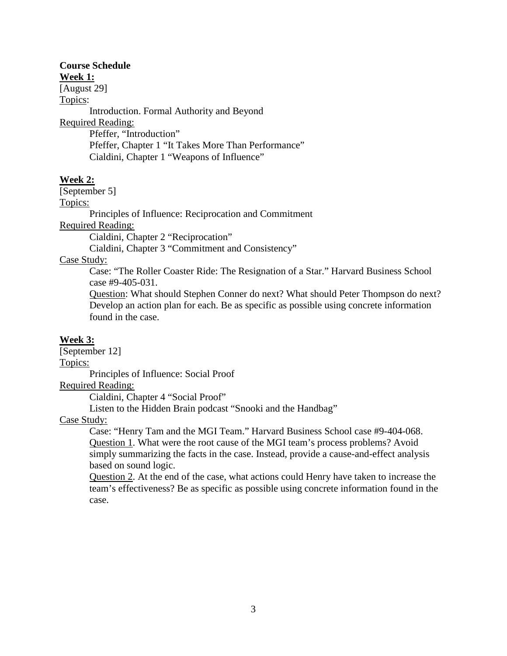# **Course Schedule**

**Week 1:**

[August 29]

Topics:

Introduction. Formal Authority and Beyond Required Reading: Pfeffer, "Introduction" Pfeffer, Chapter 1 "It Takes More Than Performance"

Cialdini, Chapter 1 "Weapons of Influence"

## **Week 2:**

[September 5]

Topics:

Principles of Influence: Reciprocation and Commitment

Required Reading:

Cialdini, Chapter 2 "Reciprocation"

Cialdini, Chapter 3 "Commitment and Consistency"

Case Study:

Case: "The Roller Coaster Ride: The Resignation of a Star." Harvard Business School case #9-405-031.

Question: What should Stephen Conner do next? What should Peter Thompson do next? Develop an action plan for each. Be as specific as possible using concrete information found in the case.

## **Week 3:**

[September 12] Topics: Principles of Influence: Social Proof

Required Reading:

Cialdini, Chapter 4 "Social Proof"

Listen to the Hidden Brain podcast "Snooki and the Handbag"

Case Study:

Case: "Henry Tam and the MGI Team." Harvard Business School case #9-404-068. Question 1. What were the root cause of the MGI team's process problems? Avoid simply summarizing the facts in the case. Instead, provide a cause-and-effect analysis based on sound logic.

Question 2. At the end of the case, what actions could Henry have taken to increase the team's effectiveness? Be as specific as possible using concrete information found in the case.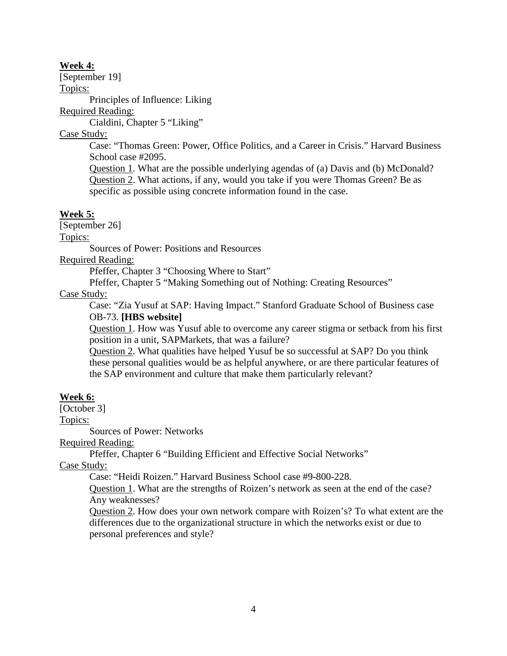#### **Week 4:**

[September 19]

Topics:

Principles of Influence: Liking

Required Reading:

Cialdini, Chapter 5 "Liking"

Case Study:

Case: "Thomas Green: Power, Office Politics, and a Career in Crisis." Harvard Business School case #2095.

Question 1. What are the possible underlying agendas of (a) Davis and (b) McDonald? Question 2. What actions, if any, would you take if you were Thomas Green? Be as specific as possible using concrete information found in the case.

## **Week 5:**

[September 26]

Topics:

Sources of Power: Positions and Resources

Required Reading:

Pfeffer, Chapter 3 "Choosing Where to Start"

Pfeffer, Chapter 5 "Making Something out of Nothing: Creating Resources"

### Case Study:

Case: "Zia Yusuf at SAP: Having Impact." Stanford Graduate School of Business case OB-73. **[HBS website]**

Question 1. How was Yusuf able to overcome any career stigma or setback from his first position in a unit, SAPMarkets, that was a failure?

Question 2. What qualities have helped Yusuf be so successful at SAP? Do you think these personal qualities would be as helpful anywhere, or are there particular features of the SAP environment and culture that make them particularly relevant?

## **Week 6:**

[October 3]

Topics:

Sources of Power: Networks

Required Reading:

Pfeffer, Chapter 6 "Building Efficient and Effective Social Networks"

Case Study:

Case: "Heidi Roizen." Harvard Business School case #9-800-228.

Question 1. What are the strengths of Roizen's network as seen at the end of the case? Any weaknesses?

Question 2. How does your own network compare with Roizen's? To what extent are the differences due to the organizational structure in which the networks exist or due to personal preferences and style?